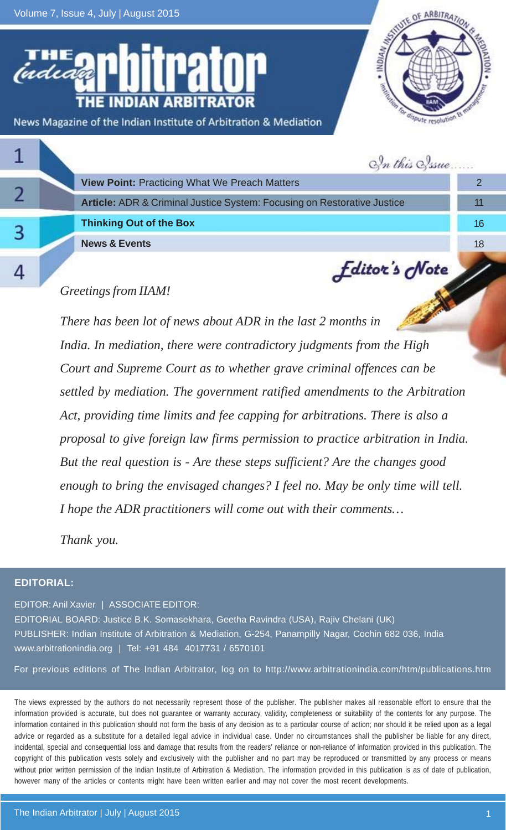Volume 7, Issue 4, July | August 2015

OF ARBITRAT **INDIAM** News Magazine of the Indian Institute of Arbitration & Mediation

|  | In this Sysue                                                           |                 |
|--|-------------------------------------------------------------------------|-----------------|
|  | <b>View Point: Practicing What We Preach Matters</b>                    |                 |
|  | Article: ADR & Criminal Justice System: Focusing on Restorative Justice | 11              |
|  | <b>Thinking Out of the Box</b>                                          | 16 <sup>1</sup> |
|  | <b>News &amp; Events</b>                                                | 18              |
|  | <b>Editor's Note</b>                                                    |                 |

### *Greetings from IIAM!*

*There has been lot of news about ADR in the last 2 months in India. In mediation, there were contradictory judgments from the High Court and Supreme Court as to whether grave criminal offences can be settled by mediation. The government ratified amendments to the Arbitration Act, providing time limits and fee capping for arbitrations. There is also a proposal to give foreign law firms permission to practice arbitration in India. But the real question is - Are these steps sufficient? Are the changes good enough to bring the envisaged changes? I feel no. May be only time will tell. I hope the ADR practitioners will come out with their comments…*

*Thank you.*

#### **EDITORIAL:**

EDITOR: Anil Xavier | ASSOCIATE EDITOR: EDITORIAL BOARD: Justice B.K. Somasekhara, Geetha Ravindra (USA), Rajiv Chelani (UK) PUBLISHER: Indian Institute of Arbitration & Mediation, G-254, Panampilly Nagar, Cochin 682 036, India www.arbitrationindia.org | Tel: +91 484 4017731 / 6570101

For previous editions of The Indian Arbitrator, log on to http://www.arbitrationindia.com/htm/publications.htm

The views expressed by the authors do not necessarily represent those of the publisher. The publisher makes all reasonable effort to ensure that the information provided is accurate, but does not guarantee or warranty accuracy, validity, completeness or suitability of the contents for any purpose. The information contained in this publication should not form the basis of any decision as to a particular course of action; nor should it be relied upon as a legal advice or regarded as a substitute for a detailed legal advice in individual case. Under no circumstances shall the publisher be liable for any direct, incidental, special and consequential loss and damage that results from the readers' reliance or non-reliance of information provided in this publication. The copyright of this publication vests solely and exclusively with the publisher and no part may be reproduced or transmitted by any process or means without prior written permission of the Indian Institute of Arbitration & Mediation. The information provided in this publication is as of date of publication, however many of the articles or contents might have been written earlier and may not cover the most recent developments.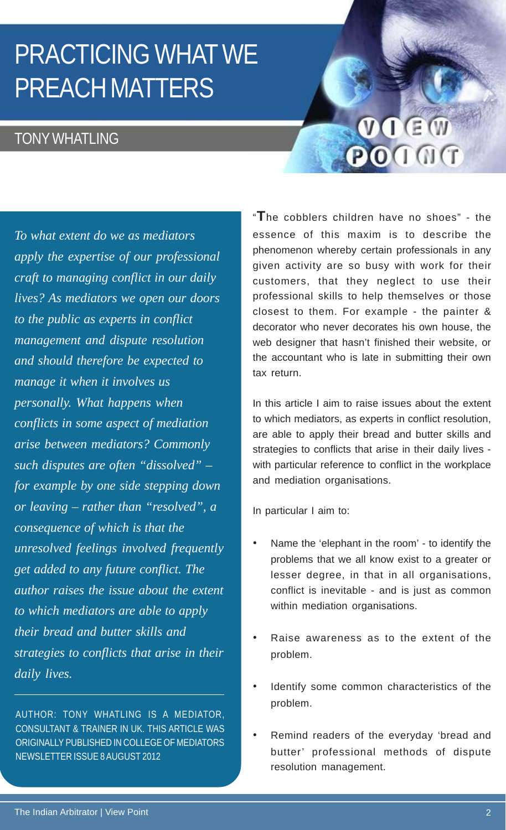# PRACTICING WHAT WE PREACH MATTERS

### **TONY WHATLING**

VIEW POIOT

*To what extent do we as mediators apply the expertise of our professional craft to managing conflict in our daily lives? As mediators we open our doors to the public as experts in conflict management and dispute resolution and should therefore be expected to manage it when it involves us personally. What happens when conflicts in some aspect of mediation arise between mediators? Commonly such disputes are often "dissolved" – for example by one side stepping down or leaving – rather than "resolved", a consequence of which is that the unresolved feelings involved frequently get added to any future conflict. The author raises the issue about the extent to which mediators are able to apply their bread and butter skills and strategies to conflicts that arise in their daily lives.*

AUTHOR: TONY WHATLING IS A MEDIATOR, CONSULTANT & TRAINER IN UK. THIS ARTICLE WAS ORIGINALLY PUBLISHED IN COLLEGE OF MEDIATORS NEWSLETTER ISSUE 8 AUGUST 2012

"**T**he cobblers children have no shoes" - the essence of this maxim is to describe the phenomenon whereby certain professionals in any given activity are so busy with work for their customers, that they neglect to use their professional skills to help themselves or those closest to them. For example - the painter & decorator who never decorates his own house, the web designer that hasn't finished their website, or the accountant who is late in submitting their own tax return.

In this article I aim to raise issues about the extent to which mediators, as experts in conflict resolution, are able to apply their bread and butter skills and strategies to conflicts that arise in their daily lives with particular reference to conflict in the workplace and mediation organisations.

In particular I aim to:

- Name the 'elephant in the room' to identify the problems that we all know exist to a greater or lesser degree, in that in all organisations, conflict is inevitable - and is just as common within mediation organisations.
- Raise awareness as to the extent of the problem.
- Identify some common characteristics of the problem.
- Remind readers of the everyday 'bread and butter' professional methods of dispute resolution management.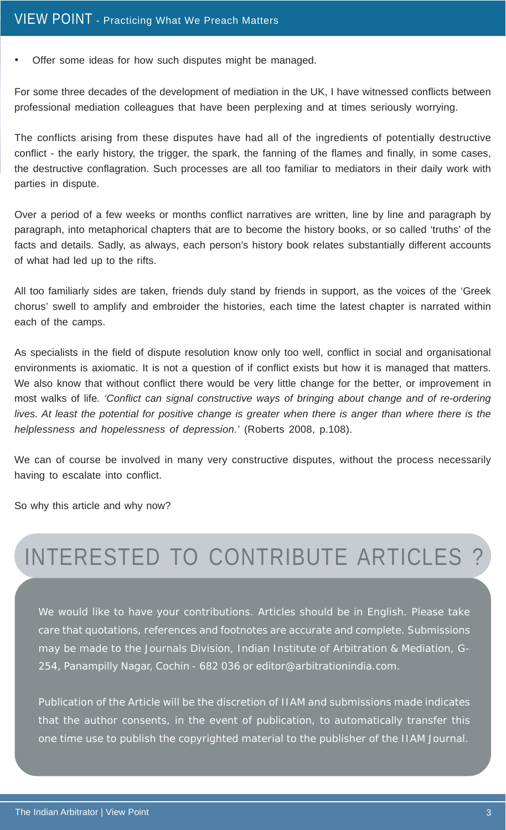• Offer some ideas for how such disputes might be managed.

For some three decades of the development of mediation in the UK, I have witnessed conflicts between professional mediation colleagues that have been perplexing and at times seriously worrying.

The conflicts arising from these disputes have had all of the ingredients of potentially destructive conflict - the early history, the trigger, the spark, the fanning of the flames and finally, in some cases, the destructive conflagration. Such processes are all too familiar to mediators in their daily work with parties in dispute.

Over a period of a few weeks or months conflict narratives are written, line by line and paragraph by paragraph, into metaphorical chapters that are to become the history books, or so called 'truths' of the facts and details. Sadly, as always, each person's history book relates substantially different accounts of what had led up to the rifts.

All too familiarly sides are taken, friends duly stand by friends in support, as the voices of the 'Greek chorus' swell to amplify and embroider the histories, each time the latest chapter is narrated within each of the camps.

As specialists in the field of dispute resolution know only too well, conflict in social and organisational environments is axiomatic. It is not a question of if conflict exists but how it is managed that matters. We also know that without conflict there would be very little change for the better, or improvement in most walks of life*. 'Conflict can signal constructive ways of bringing about change and of re-ordering lives. At least the potential for positive change is greater when there is anger than where there is the helplessness and hopelessness of depression.'* (Roberts 2008, p.108).

We can of course be involved in many very constructive disputes, without the process necessarily having to escalate into conflict.

So why this article and why now?

## INTERESTED TO CONTRIBUTE ARTICLES ?

We would like to have your contributions. Articles should be in English. Please take care that quotations, references and footnotes are accurate and complete. Submissions may be made to the Journals Division, Indian Institute of Arbitration & Mediation, G-254, Panampilly Nagar, Cochin - 682 036 or editor@arbitrationindia.com.

Publication of the Article will be the discretion of IIAM and submissions made indicates that the author consents, in the event of publication, to automatically transfer this one time use to publish the copyrighted material to the publisher of the IIAM Journal.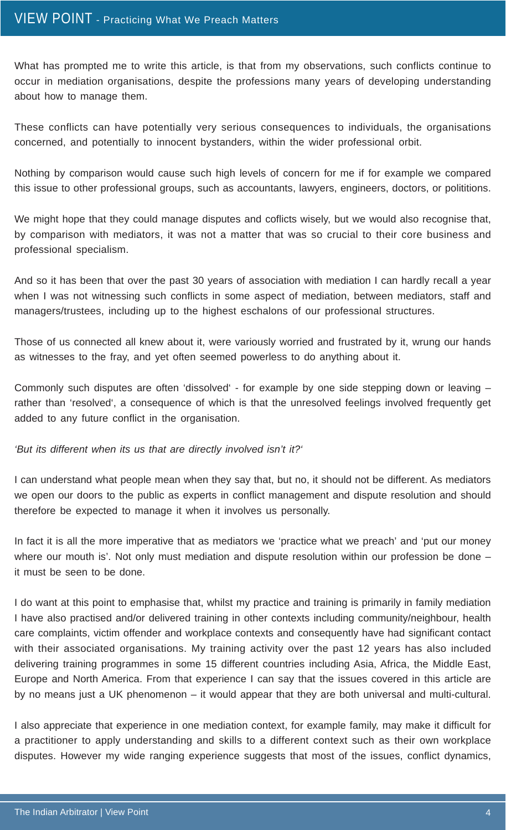What has prompted me to write this article, is that from my observations, such conflicts continue to occur in mediation organisations, despite the professions many years of developing understanding about how to manage them.

These conflicts can have potentially very serious consequences to individuals, the organisations concerned, and potentially to innocent bystanders, within the wider professional orbit.

Nothing by comparison would cause such high levels of concern for me if for example we compared this issue to other professional groups, such as accountants, lawyers, engineers, doctors, or polititions.

We might hope that they could manage disputes and coflicts wisely, but we would also recognise that, by comparison with mediators, it was not a matter that was so crucial to their core business and professional specialism.

And so it has been that over the past 30 years of association with mediation I can hardly recall a year when I was not witnessing such conflicts in some aspect of mediation, between mediators, staff and managers/trustees, including up to the highest eschalons of our professional structures.

Those of us connected all knew about it, were variously worried and frustrated by it, wrung our hands as witnesses to the fray, and yet often seemed powerless to do anything about it.

Commonly such disputes are often 'dissolved' - for example by one side stepping down or leaving – rather than 'resolved', a consequence of which is that the unresolved feelings involved frequently get added to any future conflict in the organisation.

*'But its different when its us that are directly involved isn't it?'*

I can understand what people mean when they say that, but no, it should not be different. As mediators we open our doors to the public as experts in conflict management and dispute resolution and should therefore be expected to manage it when it involves us personally.

In fact it is all the more imperative that as mediators we 'practice what we preach' and 'put our money where our mouth is'. Not only must mediation and dispute resolution within our profession be done – it must be seen to be done.

I do want at this point to emphasise that, whilst my practice and training is primarily in family mediation I have also practised and/or delivered training in other contexts including community/neighbour, health care complaints, victim offender and workplace contexts and consequently have had significant contact with their associated organisations. My training activity over the past 12 years has also included delivering training programmes in some 15 different countries including Asia, Africa, the Middle East, Europe and North America. From that experience I can say that the issues covered in this article are by no means just a UK phenomenon – it would appear that they are both universal and multi-cultural.

I also appreciate that experience in one mediation context, for example family, may make it difficult for a practitioner to apply understanding and skills to a different context such as their own workplace disputes. However my wide ranging experience suggests that most of the issues, conflict dynamics,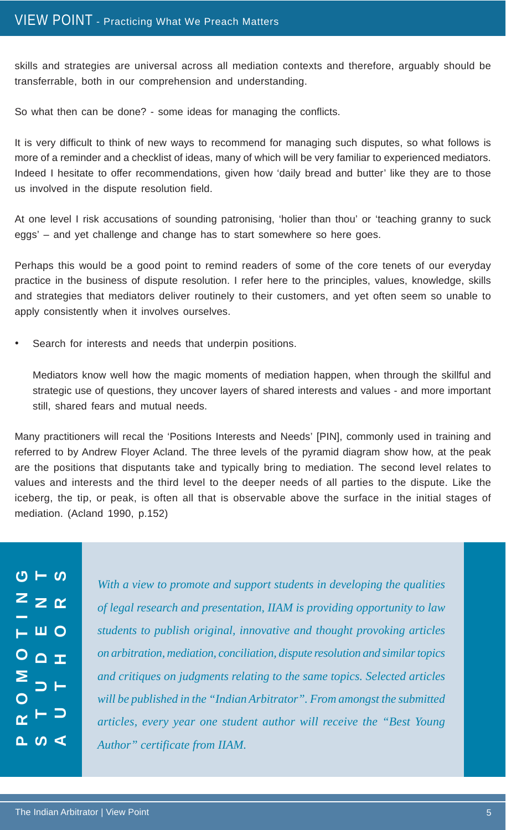skills and strategies are universal across all mediation contexts and therefore, arguably should be transferrable, both in our comprehension and understanding.

So what then can be done? - some ideas for managing the conflicts.

It is very difficult to think of new ways to recommend for managing such disputes, so what follows is more of a reminder and a checklist of ideas, many of which will be very familiar to experienced mediators. Indeed I hesitate to offer recommendations, given how 'daily bread and butter' like they are to those us involved in the dispute resolution field.

At one level I risk accusations of sounding patronising, 'holier than thou' or 'teaching granny to suck eggs' – and yet challenge and change has to start somewhere so here goes.

Perhaps this would be a good point to remind readers of some of the core tenets of our everyday practice in the business of dispute resolution. I refer here to the principles, values, knowledge, skills and strategies that mediators deliver routinely to their customers, and yet often seem so unable to apply consistently when it involves ourselves.

Search for interests and needs that underpin positions.

Mediators know well how the magic moments of mediation happen, when through the skillful and strategic use of questions, they uncover layers of shared interests and values - and more important still, shared fears and mutual needs.

Many practitioners will recal the 'Positions Interests and Needs' [PIN], commonly used in training and referred to by Andrew Floyer Acland. The three levels of the pyramid diagram show how, at the peak are the positions that disputants take and typically bring to mediation. The second level relates to values and interests and the third level to the deeper needs of all parties to the dispute. Like the iceberg, the tip, or peak, is often all that is observable above the surface in the initial stages of mediation. (Acland 1990, p.152)

|                         | ပ – $\overline{\circ}$           |  |
|-------------------------|----------------------------------|--|
|                         | $z$ $\geq$ $\alpha$              |  |
|                         |                                  |  |
|                         | $\overline{L}$ in $\overline{O}$ |  |
|                         | $O$ $\Omega$ $\pm$               |  |
| $\sum_{0}^{n}$          |                                  |  |
| $\overline{\mathsf{C}}$ |                                  |  |
|                         | $\alpha$ $\vdash$ $\supset$      |  |
|                         | $\sim$ $\sim$ $\sim$             |  |

*With a view to promote and support students in developing the qualities of legal research and presentation, IIAM is providing opportunity to law students to publish original, innovative and thought provoking articles on arbitration, mediation, conciliation, dispute resolution and similar topics and critiques on judgments relating to the same topics. Selected articles will be published in the "Indian Arbitrator". From amongst the submitted articles, every year one student author will receive the "Best Young Author" certificate from IIAM.*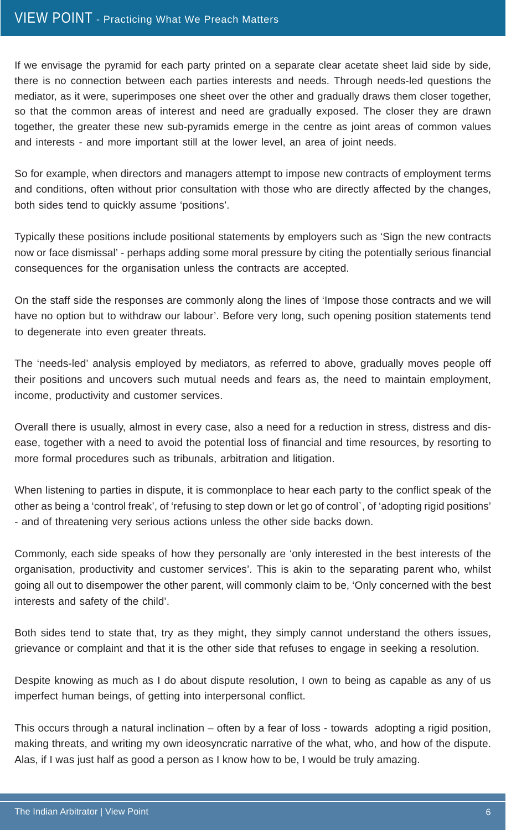If we envisage the pyramid for each party printed on a separate clear acetate sheet laid side by side, there is no connection between each parties interests and needs. Through needs-led questions the mediator, as it were, superimposes one sheet over the other and gradually draws them closer together, so that the common areas of interest and need are gradually exposed. The closer they are drawn together, the greater these new sub-pyramids emerge in the centre as joint areas of common values and interests - and more important still at the lower level, an area of joint needs.

So for example, when directors and managers attempt to impose new contracts of employment terms and conditions, often without prior consultation with those who are directly affected by the changes, both sides tend to quickly assume 'positions'.

Typically these positions include positional statements by employers such as 'Sign the new contracts now or face dismissal' - perhaps adding some moral pressure by citing the potentially serious financial consequences for the organisation unless the contracts are accepted.

On the staff side the responses are commonly along the lines of 'Impose those contracts and we will have no option but to withdraw our labour'. Before very long, such opening position statements tend to degenerate into even greater threats.

The 'needs-led' analysis employed by mediators, as referred to above, gradually moves people off their positions and uncovers such mutual needs and fears as, the need to maintain employment, income, productivity and customer services.

Overall there is usually, almost in every case, also a need for a reduction in stress, distress and disease, together with a need to avoid the potential loss of financial and time resources, by resorting to more formal procedures such as tribunals, arbitration and litigation.

When listening to parties in dispute, it is commonplace to hear each party to the conflict speak of the other as being a 'control freak', of 'refusing to step down or let go of control`, of 'adopting rigid positions' - and of threatening very serious actions unless the other side backs down.

Commonly, each side speaks of how they personally are 'only interested in the best interests of the organisation, productivity and customer services'. This is akin to the separating parent who, whilst going all out to disempower the other parent, will commonly claim to be, 'Only concerned with the best interests and safety of the child'.

Both sides tend to state that, try as they might, they simply cannot understand the others issues, grievance or complaint and that it is the other side that refuses to engage in seeking a resolution.

Despite knowing as much as I do about dispute resolution, I own to being as capable as any of us imperfect human beings, of getting into interpersonal conflict.

This occurs through a natural inclination – often by a fear of loss - towards adopting a rigid position, making threats, and writing my own ideosyncratic narrative of the what, who, and how of the dispute. Alas, if I was just half as good a person as I know how to be, I would be truly amazing.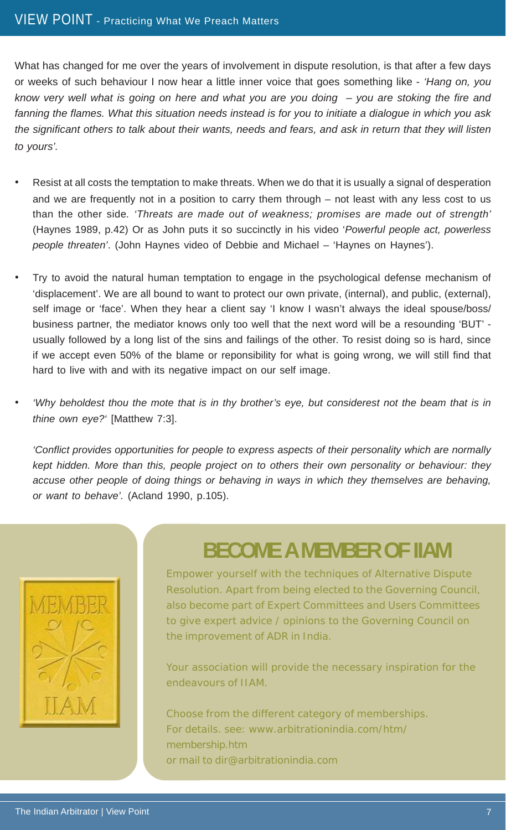What has changed for me over the years of involvement in dispute resolution, is that after a few days or weeks of such behaviour I now hear a little inner voice that goes something like - *'Hang on, you know very well what is going on here and what you are you doing – you are stoking the fire and fanning the flames. What this situation needs instead is for you to initiate a dialogue in which you ask the significant others to talk about their wants, needs and fears, and ask in return that they will listen to yours'.*

- Resist at all costs the temptation to make threats. When we do that it is usually a signal of desperation and we are frequently not in a position to carry them through – not least with any less cost to us than the other side*. 'Threats are made out of weakness; promises are made out of strength'* (Haynes 1989, p.42) Or as John puts it so succinctly in his video '*Powerful people act, powerless people threaten'*. (John Haynes video of Debbie and Michael – 'Haynes on Haynes').
- Try to avoid the natural human temptation to engage in the psychological defense mechanism of 'displacement'. We are all bound to want to protect our own private, (internal), and public, (external), self image or 'face'. When they hear a client say 'I know I wasn't always the ideal spouse/boss/ business partner, the mediator knows only too well that the next word will be a resounding 'BUT' usually followed by a long list of the sins and failings of the other. To resist doing so is hard, since if we accept even 50% of the blame or reponsibility for what is going wrong, we will still find that hard to live with and with its negative impact on our self image.
- *'Why beholdest thou the mote that is in thy brother's eye, but considerest not the beam that is in thine own eye?'* [Matthew 7:3].

*'Conflict provides opportunities for people to express aspects of their personality which are normally kept hidden. More than this, people project on to others their own personality or behaviour: they accuse other people of doing things or behaving in ways in which they themselves are behaving, or want to behave'.* (Acland 1990, p.105).



## **BECOME A MEMBER OF IIAM**

Empower yourself with the techniques of Alternative Dispute Resolution. Apart from being elected to the Governing Council, also become part of Expert Committees and Users Committees to give expert advice / opinions to the Governing Council on the improvement of ADR in India.

Your association will provide the necessary inspiration for the endeavours of IIAM.

Choose from the different category of memberships. For details. see: www.arbitrationindia.com/htm/ membership.htm or mail to dir@arbitrationindia.com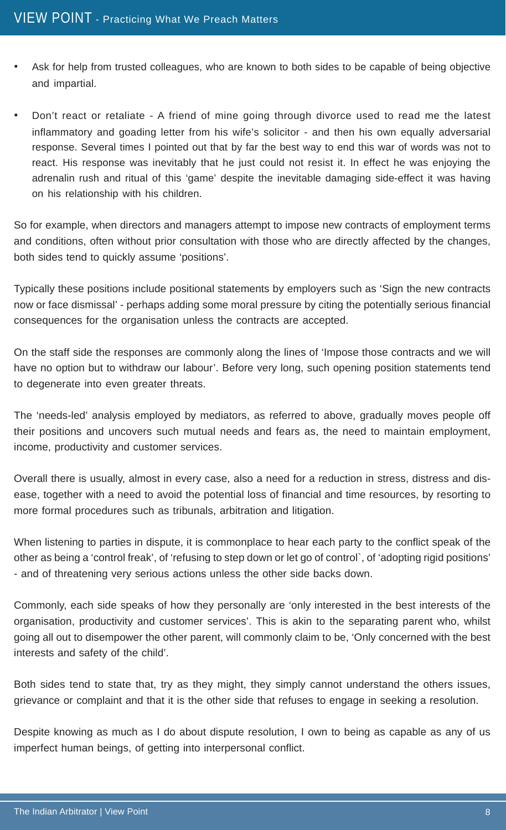- Ask for help from trusted colleagues, who are known to both sides to be capable of being objective and impartial.
- Don't react or retaliate A friend of mine going through divorce used to read me the latest inflammatory and goading letter from his wife's solicitor - and then his own equally adversarial response. Several times I pointed out that by far the best way to end this war of words was not to react. His response was inevitably that he just could not resist it. In effect he was enjoying the adrenalin rush and ritual of this 'game' despite the inevitable damaging side-effect it was having on his relationship with his children.

So for example, when directors and managers attempt to impose new contracts of employment terms and conditions, often without prior consultation with those who are directly affected by the changes, both sides tend to quickly assume 'positions'.

Typically these positions include positional statements by employers such as 'Sign the new contracts now or face dismissal' - perhaps adding some moral pressure by citing the potentially serious financial consequences for the organisation unless the contracts are accepted.

On the staff side the responses are commonly along the lines of 'Impose those contracts and we will have no option but to withdraw our labour'. Before very long, such opening position statements tend to degenerate into even greater threats.

The 'needs-led' analysis employed by mediators, as referred to above, gradually moves people off their positions and uncovers such mutual needs and fears as, the need to maintain employment, income, productivity and customer services.

Overall there is usually, almost in every case, also a need for a reduction in stress, distress and disease, together with a need to avoid the potential loss of financial and time resources, by resorting to more formal procedures such as tribunals, arbitration and litigation.

When listening to parties in dispute, it is commonplace to hear each party to the conflict speak of the other as being a 'control freak', of 'refusing to step down or let go of control`, of 'adopting rigid positions' - and of threatening very serious actions unless the other side backs down.

Commonly, each side speaks of how they personally are 'only interested in the best interests of the organisation, productivity and customer services'. This is akin to the separating parent who, whilst going all out to disempower the other parent, will commonly claim to be, 'Only concerned with the best interests and safety of the child'.

Both sides tend to state that, try as they might, they simply cannot understand the others issues, grievance or complaint and that it is the other side that refuses to engage in seeking a resolution.

Despite knowing as much as I do about dispute resolution, I own to being as capable as any of us imperfect human beings, of getting into interpersonal conflict.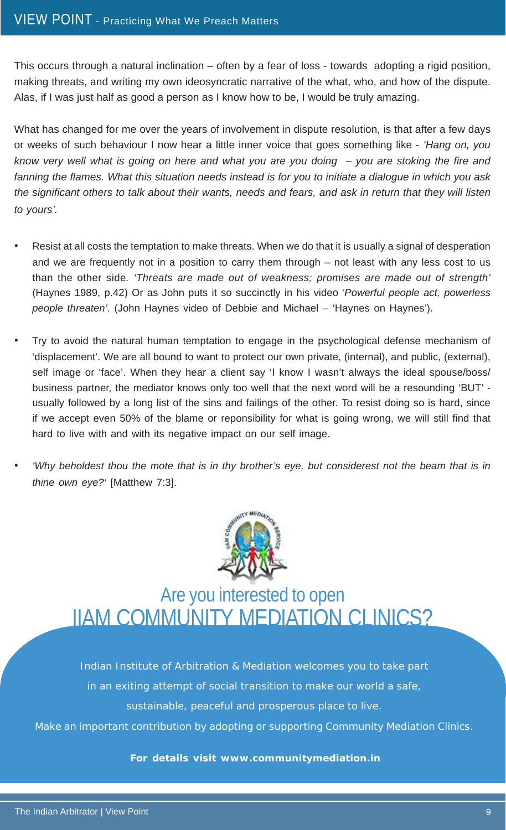This occurs through a natural inclination – often by a fear of loss - towards adopting a rigid position, making threats, and writing my own ideosyncratic narrative of the what, who, and how of the dispute. Alas, if I was just half as good a person as I know how to be, I would be truly amazing.

What has changed for me over the years of involvement in dispute resolution, is that after a few days or weeks of such behaviour I now hear a little inner voice that goes something like - *'Hang on, you know very well what is going on here and what you are you doing – you are stoking the fire and fanning the flames. What this situation needs instead is for you to initiate a dialogue in which you ask the significant others to talk about their wants, needs and fears, and ask in return that they will listen to yours'.*

- Resist at all costs the temptation to make threats. When we do that it is usually a signal of desperation and we are frequently not in a position to carry them through – not least with any less cost to us than the other side*. 'Threats are made out of weakness; promises are made out of strength'* (Haynes 1989, p.42) Or as John puts it so succinctly in his video '*Powerful people act, powerless people threaten'*. (John Haynes video of Debbie and Michael – 'Haynes on Haynes').
- Try to avoid the natural human temptation to engage in the psychological defense mechanism of 'displacement'. We are all bound to want to protect our own private, (internal), and public, (external), self image or 'face'. When they hear a client say 'I know I wasn't always the ideal spouse/boss/ business partner, the mediator knows only too well that the next word will be a resounding 'BUT' usually followed by a long list of the sins and failings of the other. To resist doing so is hard, since if we accept even 50% of the blame or reponsibility for what is going wrong, we will still find that hard to live with and with its negative impact on our self image.
- *'Why beholdest thou the mote that is in thy brother's eye, but considerest not the beam that is in thine own eye?'* [Matthew 7:3].



Are you interested to open IIAM COMMUNITY MEDIATION CLINICS?

Indian Institute of Arbitration & Mediation welcomes you to take part in an exiting attempt of social transition to make our world a safe, sustainable, peaceful and prosperous place to live.

Make an important contribution by adopting or supporting Community Mediation Clinics.

**For details visit www.communitymediation.in**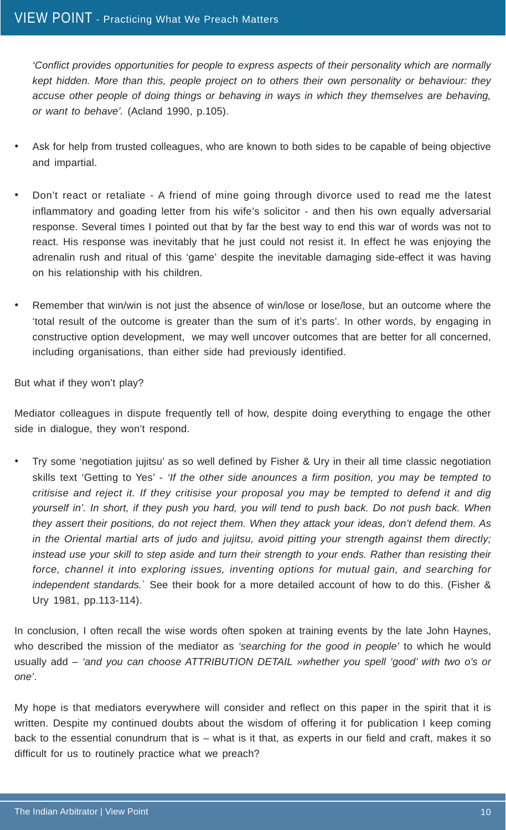*'Conflict provides opportunities for people to express aspects of their personality which are normally kept hidden. More than this, people project on to others their own personality or behaviour: they accuse other people of doing things or behaving in ways in which they themselves are behaving, or want to behave'.* (Acland 1990, p.105).

- Ask for help from trusted colleagues, who are known to both sides to be capable of being objective and impartial.
- Don't react or retaliate A friend of mine going through divorce used to read me the latest inflammatory and goading letter from his wife's solicitor - and then his own equally adversarial response. Several times I pointed out that by far the best way to end this war of words was not to react. His response was inevitably that he just could not resist it. In effect he was enjoying the adrenalin rush and ritual of this 'game' despite the inevitable damaging side-effect it was having on his relationship with his children.
- Remember that win/win is not just the absence of win/lose or lose/lose, but an outcome where the 'total result of the outcome is greater than the sum of it's parts'. In other words, by engaging in constructive option development, we may well uncover outcomes that are better for all concerned, including organisations, than either side had previously identified.

But what if they won't play?

Mediator colleagues in dispute frequently tell of how, despite doing everything to engage the other side in dialogue, they won't respond.

• Try some 'negotiation jujitsu' as so well defined by Fisher & Ury in their all time classic negotiation skills text 'Getting to Yes' - *'If the other side anounces a firm position, you may be tempted to critisise and reject it. If they critisise your proposal you may be tempted to defend it and dig yourself in'. In short, if they push you hard, you will tend to push back. Do not push back. When they assert their positions, do not reject them. When they attack your ideas, don't defend them. As in the Oriental martial arts of judo and jujitsu, avoid pitting your strength against them directly; instead use your skill to step aside and turn their strength to your ends. Rather than resisting their force, channel it into exploring issues, inventing options for mutual gain, and searching for independent standards.`* See their book for a more detailed account of how to do this. (Fisher & Ury 1981, pp.113-114).

In conclusion, I often recall the wise words often spoken at training events by the late John Haynes, who described the mission of the mediator as *'searching for the good in people'* to which he would usually add – *'and you can choose ATTRIBUTION DETAIL »whether you spell 'good' with two o's or one'*.

My hope is that mediators everywhere will consider and reflect on this paper in the spirit that it is written. Despite my continued doubts about the wisdom of offering it for publication I keep coming back to the essential conundrum that is – what is it that, as experts in our field and craft, makes it so difficult for us to routinely practice what we preach?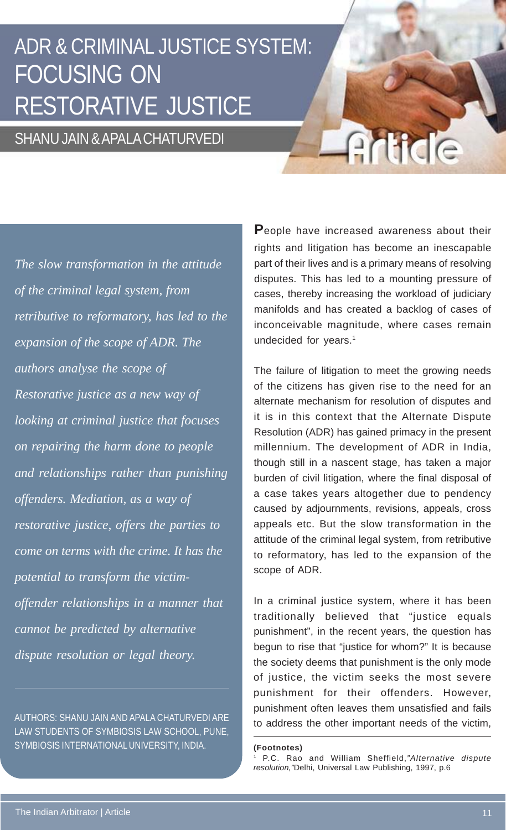## ADR & CRIMINAL JUSTICE SYSTEM: FOCUSING ON RESTORATIVE JUSTICE

### SHANU JAIN & APALA CHATURVEDI

*The slow transformation in the attitude of the criminal legal system, from retributive to reformatory, has led to the expansion of the scope of ADR. The authors analyse the scope of Restorative justice as a new way of looking at criminal justice that focuses on repairing the harm done to people and relationships rather than punishing offenders. Mediation, as a way of restorative justice, offers the parties to come on terms with the crime. It has the potential to transform the victimoffender relationships in a manner that cannot be predicted by alternative dispute resolution or legal theory.*

AUTHORS: SHANU JAIN AND APALA CHATURVEDI ARE LAW STUDENTS OF SYMBIOSIS LAW SCHOOL, PUNE, SYMBIOSIS INTERNATIONAL UNIVERSITY, INDIA. **(Footnotes)**

**P**eople have increased awareness about their rights and litigation has become an inescapable part of their lives and is a primary means of resolving disputes. This has led to a mounting pressure of cases, thereby increasing the workload of judiciary manifolds and has created a backlog of cases of inconceivable magnitude, where cases remain undecided for years.<sup>1</sup>

Article

The failure of litigation to meet the growing needs of the citizens has given rise to the need for an alternate mechanism for resolution of disputes and it is in this context that the Alternate Dispute Resolution (ADR) has gained primacy in the present millennium. The development of ADR in India, though still in a nascent stage, has taken a major burden of civil litigation, where the final disposal of a case takes years altogether due to pendency caused by adjournments, revisions, appeals, cross appeals etc. But the slow transformation in the attitude of the criminal legal system, from retributive to reformatory, has led to the expansion of the scope of ADR.

In a criminal justice system, where it has been traditionally believed that "justice equals punishment", in the recent years, the question has begun to rise that "justice for whom?" It is because the society deems that punishment is the only mode of justice, the victim seeks the most severe punishment for their offenders. However, punishment often leaves them unsatisfied and fails to address the other important needs of the victim,

<sup>1</sup> P.C. Rao and William Sheffield,*"Alternative dispute resolution,"*Delhi, Universal Law Publishing, 1997, p.6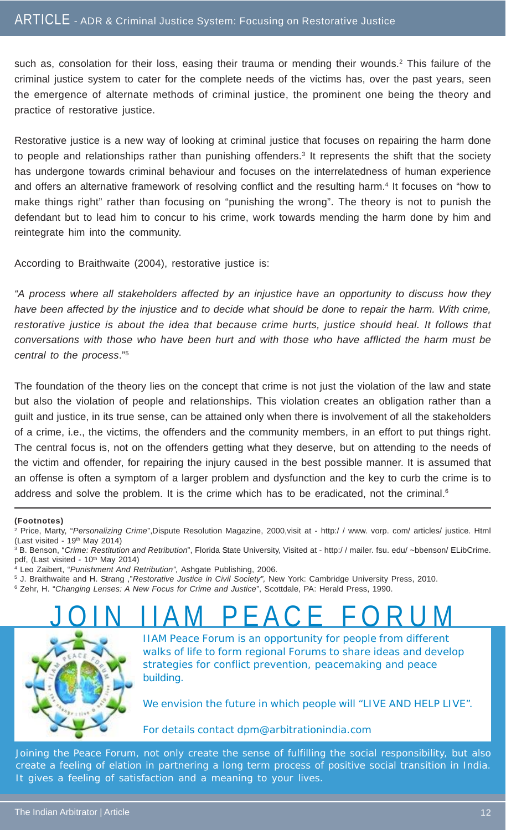such as, consolation for their loss, easing their trauma or mending their wounds.<sup>2</sup> This failure of the criminal justice system to cater for the complete needs of the victims has, over the past years, seen the emergence of alternate methods of criminal justice, the prominent one being the theory and practice of restorative justice.

Restorative justice is a new way of looking at criminal justice that focuses on repairing the harm done to people and relationships rather than punishing offenders.<sup>3</sup> It represents the shift that the society has undergone towards criminal behaviour and focuses on the interrelatedness of human experience and offers an alternative framework of resolving conflict and the resulting harm.4 It focuses on "how to make things right" rather than focusing on "punishing the wrong". The theory is not to punish the defendant but to lead him to concur to his crime, work towards mending the harm done by him and reintegrate him into the community.

According to Braithwaite (2004), restorative justice is:

*"A process where all stakeholders affected by an injustice have an opportunity to discuss how they have been affected by the injustice and to decide what should be done to repair the harm. With crime, restorative justice is about the idea that because crime hurts, justice should heal. It follows that conversations with those who have been hurt and with those who have afflicted the harm must be central to the process*."5

The foundation of the theory lies on the concept that crime is not just the violation of the law and state but also the violation of people and relationships. This violation creates an obligation rather than a guilt and justice, in its true sense, can be attained only when there is involvement of all the stakeholders of a crime, i.e., the victims, the offenders and the community members, in an effort to put things right. The central focus is, not on the offenders getting what they deserve, but on attending to the needs of the victim and offender, for repairing the injury caused in the best possible manner. It is assumed that an offense is often a symptom of a larger problem and dysfunction and the key to curb the crime is to address and solve the problem. It is the crime which has to be eradicated, not the criminal.<sup>6</sup>

#### **(Footnotes)**

- 4 Leo Zaibert, "*Punishment And Retribution",* Ashgate Publishing, 2006.
- 5 J. Braithwaite and H. Strang ,"*Restorative Justice in Civil Society",* New York: Cambridge University Press, 2010.
- 6 Zehr, H. "*Changing Lenses: A New Focus for Crime and Justice*", Scottdale, PA: Herald Press, 1990.

## <u>JOIN IIAM PEACE FORUM</u>



IIAM Peace Forum is an opportunity for people from different walks of life to form regional Forums to share ideas and develop strategies for conflict prevention, peacemaking and peace building.

We envision the future in which people will "LIVE AND HELP LIVE".

For details contact dpm@arbitrationindia.com

Joining the Peace Forum, not only create the sense of fulfilling the social responsibility, but also create a feeling of elation in partnering a long term process of positive social transition in India. It gives a feeling of satisfaction and a meaning to your lives.

<sup>2</sup> Price, Marty, "*Personalizing Crime*",Dispute Resolution Magazine, 2000,visit at - http:/ / www. vorp. com/ articles/ justice. Html  $(Last visited - 19<sup>th</sup> May 2014)$ 

<sup>3</sup> B. Benson, "*Crime: Restitution and Retribution*", Florida State University, Visited at - http:/ / mailer. fsu. edu/ ~bbenson/ ELibCrime. pdf, (Last visited - 10<sup>th</sup> May 2014)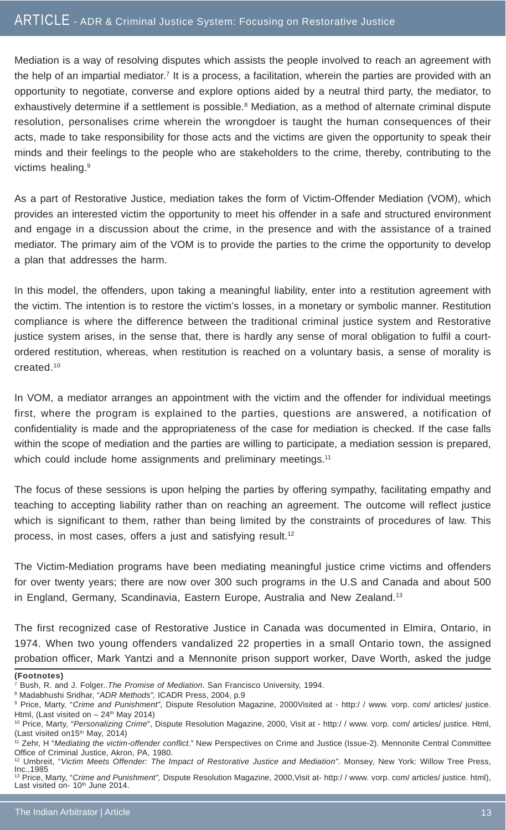Mediation is a way of resolving disputes which assists the people involved to reach an agreement with the help of an impartial mediator.<sup>7</sup> It is a process, a facilitation, wherein the parties are provided with an opportunity to negotiate, converse and explore options aided by a neutral third party, the mediator, to exhaustively determine if a settlement is possible.<sup>8</sup> Mediation, as a method of alternate criminal dispute resolution, personalises crime wherein the wrongdoer is taught the human consequences of their acts, made to take responsibility for those acts and the victims are given the opportunity to speak their minds and their feelings to the people who are stakeholders to the crime, thereby, contributing to the victims healing.<sup>9</sup>

As a part of Restorative Justice, mediation takes the form of Victim-Offender Mediation (VOM), which provides an interested victim the opportunity to meet his offender in a safe and structured environment and engage in a discussion about the crime, in the presence and with the assistance of a trained mediator. The primary aim of the VOM is to provide the parties to the crime the opportunity to develop a plan that addresses the harm.

In this model, the offenders, upon taking a meaningful liability, enter into a restitution agreement with the victim. The intention is to restore the victim's losses, in a monetary or symbolic manner. Restitution compliance is where the difference between the traditional criminal justice system and Restorative justice system arises, in the sense that, there is hardly any sense of moral obligation to fulfil a courtordered restitution, whereas, when restitution is reached on a voluntary basis, a sense of morality is created.10

In VOM, a mediator arranges an appointment with the victim and the offender for individual meetings first, where the program is explained to the parties, questions are answered, a notification of confidentiality is made and the appropriateness of the case for mediation is checked. If the case falls within the scope of mediation and the parties are willing to participate, a mediation session is prepared, which could include home assignments and preliminary meetings.<sup>11</sup>

The focus of these sessions is upon helping the parties by offering sympathy, facilitating empathy and teaching to accepting liability rather than on reaching an agreement. The outcome will reflect justice which is significant to them, rather than being limited by the constraints of procedures of law. This process, in most cases, offers a just and satisfying result.<sup>12</sup>

The Victim-Mediation programs have been mediating meaningful justice crime victims and offenders for over twenty years; there are now over 300 such programs in the U.S and Canada and about 500 in England, Germany, Scandinavia, Eastern Europe, Australia and New Zealand.13

The first recognized case of Restorative Justice in Canada was documented in Elmira, Ontario, in 1974. When two young offenders vandalized 22 properties in a small Ontario town, the assigned probation officer, Mark Yantzi and a Mennonite prison support worker, Dave Worth, asked the judge

**(Footnotes)**

8 Madabhushi Sridhar, "*ADR Methods",* ICADR Press, 2004, p.9

<sup>7</sup> Bush, R. and J. Folger..*The Promise of Mediation*. San Francisco University, 1994.

<sup>9</sup> Price, Marty, "*Crime and Punishment",* Dispute Resolution Magazine, 2000Visited at - http:/ / www. vorp. com/ articles/ justice. Html, (Last visited on  $-24$ <sup>th</sup> May 2014)

<sup>10</sup> Price, Marty, "*Personalizing Crime*", Dispute Resolution Magazine, 2000, Visit at - http:/ / www. vorp. com/ articles/ justice. Html, (Last visited on15<sup>th</sup> May, 2014)

<sup>11</sup> Zehr, H "*Mediating the victim-offender conflict.*" New Perspectives on Crime and Justice (Issue-2). Mennonite Central Committee Office of Criminal Justice, Akron, PA, 1980.

<sup>12</sup> Umbreit, "*Victim Meets Offender: The Impact of Restorative Justice and Mediation"*. Monsey, New York: Willow Tree Press, Inc.,1985 13 Price, Marty, "*Crime and Punishment",* Dispute Resolution Magazine, 2000,Visit at- http:/ / www. vorp. com/ articles/ justice. html),

Last visited on- $10<sup>th</sup>$  June 2014.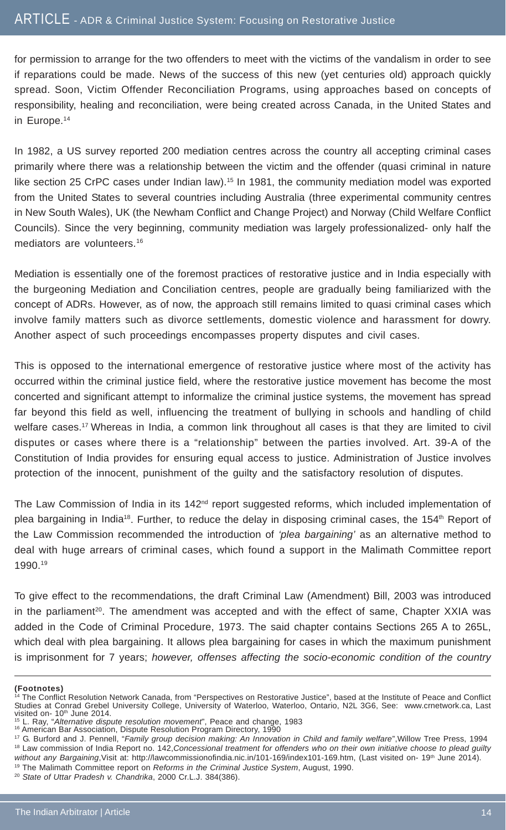for permission to arrange for the two offenders to meet with the victims of the vandalism in order to see if reparations could be made. News of the success of this new (yet centuries old) approach quickly spread. Soon, Victim Offender Reconciliation Programs, using approaches based on concepts of responsibility, healing and reconciliation, were being created across Canada, in the United States and in Europe.14

In 1982, a US survey reported 200 mediation centres across the country all accepting criminal cases primarily where there was a relationship between the victim and the offender (quasi criminal in nature like section 25 CrPC cases under Indian law).<sup>15</sup> In 1981, the community mediation model was exported from the United States to several countries including Australia (three experimental community centres in New South Wales), UK (the Newham Conflict and Change Project) and Norway (Child Welfare Conflict Councils). Since the very beginning, community mediation was largely professionalized- only half the mediators are volunteers.16

Mediation is essentially one of the foremost practices of restorative justice and in India especially with the burgeoning Mediation and Conciliation centres, people are gradually being familiarized with the concept of ADRs. However, as of now, the approach still remains limited to quasi criminal cases which involve family matters such as divorce settlements, domestic violence and harassment for dowry. Another aspect of such proceedings encompasses property disputes and civil cases.

This is opposed to the international emergence of restorative justice where most of the activity has occurred within the criminal justice field, where the restorative justice movement has become the most concerted and significant attempt to informalize the criminal justice systems, the movement has spread far beyond this field as well, influencing the treatment of bullying in schools and handling of child welfare cases.<sup>17</sup> Whereas in India, a common link throughout all cases is that they are limited to civil disputes or cases where there is a "relationship" between the parties involved. Art. 39-A of the Constitution of India provides for ensuring equal access to justice. Administration of Justice involves protection of the innocent, punishment of the guilty and the satisfactory resolution of disputes.

The Law Commission of India in its 142<sup>nd</sup> report suggested reforms, which included implementation of plea bargaining in India<sup>18</sup>. Further, to reduce the delay in disposing criminal cases, the 154<sup>th</sup> Report of the Law Commission recommended the introduction of *'plea bargaining'* as an alternative method to deal with huge arrears of criminal cases, which found a support in the Malimath Committee report 1990.19

To give effect to the recommendations, the draft Criminal Law (Amendment) Bill, 2003 was introduced in the parliament<sup>20</sup>. The amendment was accepted and with the effect of same, Chapter XXIA was added in the Code of Criminal Procedure, 1973. The said chapter contains Sections 265 A to 265L, which deal with plea bargaining. It allows plea bargaining for cases in which the maximum punishment is imprisonment for 7 years; *however, offenses affecting the socio-economic condition of the country*

#### **(Footnotes)**

<sup>&</sup>lt;sup>4</sup> The Conflict Resolution Network Canada, from "Perspectives on Restorative Justice", based at the Institute of Peace and Conflict Studies at Conrad Grebel University College, University of Waterloo, Waterloo, Ontario, N2L 3G6, See: www.crnetwork.ca, Last visited on- 10<sup>th</sup> June 2014.

<sup>15</sup> L. Ray, "*Alternative dispute resolution movement*", Peace and change, 1983

<sup>16</sup> American Bar Association, Dispute Resolution Program Directory, 1990

<sup>17</sup> G. Burford and J. Pennell, "*Family group decision making: An Innovation in Child and family welfare*",Willow Tree Press, 1994 18 Law commission of India Report no. 142,*Concessional treatment for offenders who on their own initiative choose to plead guilty*

without any Bargaining, Visit at: http://lawcommissionofindia.nic.in/101-169/index101-169.htm, (Last visited on- 19<sup>th</sup> June 2014).

<sup>19</sup> The Malimath Committee report on *Reforms in the Criminal Justice System*, August, 1990.

<sup>20</sup> *State of Uttar Pradesh v. Chandrika*, 2000 Cr.L.J. 384(386).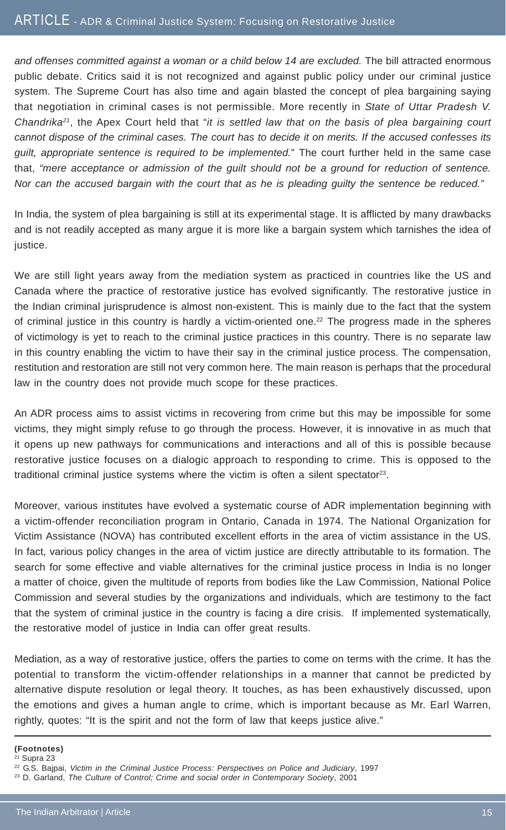*and offenses committed against a woman or a child below 14 are excluded.* The bill attracted enormous public debate. Critics said it is not recognized and against public policy under our criminal justice system. The Supreme Court has also time and again blasted the concept of plea bargaining saying that negotiation in criminal cases is not permissible. More recently in *State of Uttar Pradesh V. Chandrika21*, the Apex Court held that "*it is settled law that on the basis of plea bargaining court cannot dispose of the criminal cases. The court has to decide it on merits. If the accused confesses its guilt, appropriate sentence is required to be implemented.*" The court further held in the same case that, *"mere acceptance or admission of the guilt should not be a ground for reduction of sentence. Nor can the accused bargain with the court that as he is pleading guilty the sentence be reduced."*

In India, the system of plea bargaining is still at its experimental stage. It is afflicted by many drawbacks and is not readily accepted as many argue it is more like a bargain system which tarnishes the idea of justice.

We are still light years away from the mediation system as practiced in countries like the US and Canada where the practice of restorative justice has evolved significantly. The restorative justice in the Indian criminal jurisprudence is almost non-existent. This is mainly due to the fact that the system of criminal justice in this country is hardly a victim-oriented one.<sup>22</sup> The progress made in the spheres of victimology is yet to reach to the criminal justice practices in this country. There is no separate law in this country enabling the victim to have their say in the criminal justice process. The compensation, restitution and restoration are still not very common here. The main reason is perhaps that the procedural law in the country does not provide much scope for these practices.

An ADR process aims to assist victims in recovering from crime but this may be impossible for some victims, they might simply refuse to go through the process. However, it is innovative in as much that it opens up new pathways for communications and interactions and all of this is possible because restorative justice focuses on a dialogic approach to responding to crime. This is opposed to the traditional criminal justice systems where the victim is often a silent spectator<sup>23</sup>.

Moreover, various institutes have evolved a systematic course of ADR implementation beginning with a victim-offender reconciliation program in Ontario, Canada in 1974. The National Organization for Victim Assistance (NOVA) has contributed excellent efforts in the area of victim assistance in the US. In fact, various policy changes in the area of victim justice are directly attributable to its formation. The search for some effective and viable alternatives for the criminal justice process in India is no longer a matter of choice, given the multitude of reports from bodies like the Law Commission, National Police Commission and several studies by the organizations and individuals, which are testimony to the fact that the system of criminal justice in the country is facing a dire crisis. If implemented systematically, the restorative model of justice in India can offer great results.

Mediation, as a way of restorative justice, offers the parties to come on terms with the crime. It has the potential to transform the victim-offender relationships in a manner that cannot be predicted by alternative dispute resolution or legal theory. It touches, as has been exhaustively discussed, upon the emotions and gives a human angle to crime, which is important because as Mr. Earl Warren, rightly, quotes: "It is the spirit and not the form of law that keeps justice alive."

**(Footnotes)**

 $21$  Supra 23

<sup>22</sup> G.S. Bajpai, *Victim in the Criminal Justice Process: Perspectives on Police and Judiciary*, 1997

<sup>23</sup> D. Garland, *The Culture of Control; Crime and social order in Contemporary Society*, 2001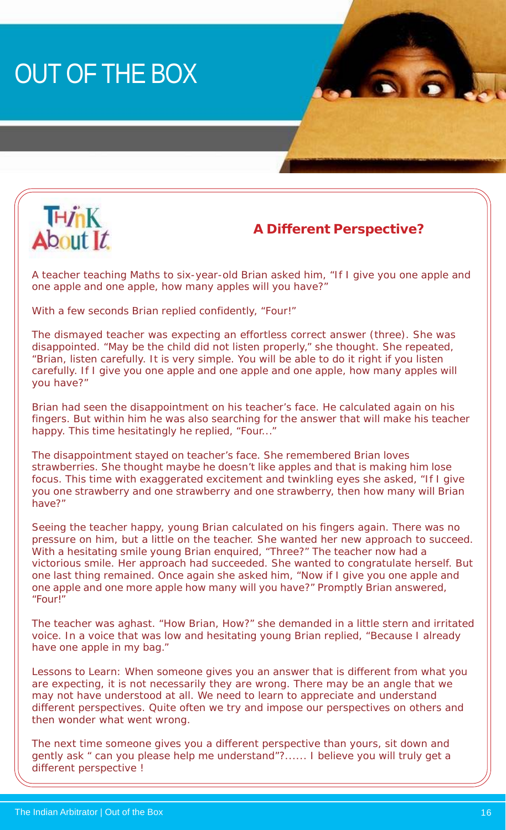# OUT OF THE BOX



### **A Different Perspective?**

A teacher teaching Maths to six-year-old Brian asked him, "If I give you one apple and one apple and one apple, how many apples will you have?"

With a few seconds Brian replied confidently, "Four!"

The dismayed teacher was expecting an effortless correct answer (three). She was disappointed. "May be the child did not listen properly," she thought. She repeated, "Brian, listen carefully. It is very simple. You will be able to do it right if you listen carefully. If I give you one apple and one apple and one apple, how many apples will you have?"

Brian had seen the disappointment on his teacher's face. He calculated again on his fingers. But within him he was also searching for the answer that will make his teacher happy. This time hesitatingly he replied, "Four..."

The disappointment stayed on teacher's face. She remembered Brian loves strawberries. She thought maybe he doesn't like apples and that is making him lose focus. This time with exaggerated excitement and twinkling eyes she asked, "If I give you one strawberry and one strawberry and one strawberry, then how many will Brian have?"

Seeing the teacher happy, young Brian calculated on his fingers again. There was no pressure on him, but a little on the teacher. She wanted her new approach to succeed. With a hesitating smile young Brian enquired, "Three?" The teacher now had a victorious smile. Her approach had succeeded. She wanted to congratulate herself. But one last thing remained. Once again she asked him, "Now if I give you one apple and one apple and one more apple how many will you have?" Promptly Brian answered, "Four!"

The teacher was aghast. "How Brian, How?" she demanded in a little stern and irritated voice. In a voice that was low and hesitating young Brian replied, "Because I already have one apple in my bag."

Lessons to Learn: When someone gives you an answer that is different from what you are expecting, it is not necessarily they are wrong. There may be an angle that we may not have understood at all. We need to learn to appreciate and understand different perspectives. Quite often we try and impose our perspectives on others and then wonder what went wrong.

The next time someone gives you a different perspective than yours, sit down and gently ask " can you please help me understand"?...... I believe you will truly get a different perspective !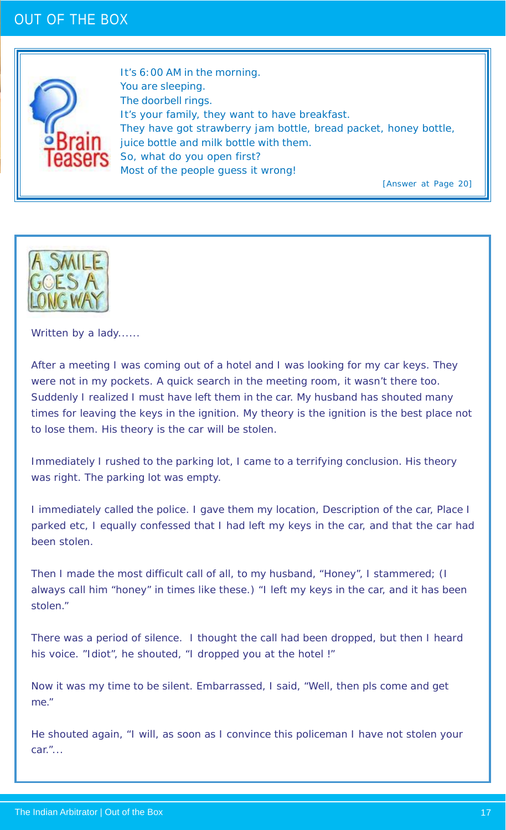### OUT OF THE BOX



It's 6:00 AM in the morning. You are sleeping. The doorbell rings. It's your family, they want to have breakfast. They have got strawberry jam bottle, bread packet, honey bottle, juice bottle and milk bottle with them. So, what do you open first? Most of the people guess it wrong!

[Answer at Page 20]



Written by a lady......

After a meeting I was coming out of a hotel and I was looking for my car keys. They were not in my pockets. A quick search in the meeting room, it wasn't there too. Suddenly I realized I must have left them in the car. My husband has shouted many times for leaving the keys in the ignition. My theory is the ignition is the best place not to lose them. His theory is the car will be stolen.

Immediately I rushed to the parking lot, I came to a terrifying conclusion. His theory was right. The parking lot was empty.

I immediately called the police. I gave them my location, Description of the car, Place I parked etc, I equally confessed that I had left my keys in the car, and that the car had been stolen.

Then I made the most difficult call of all, to my husband, "Honey", I stammered; (I always call him "honey" in times like these.) "I left my keys in the car, and it has been stolen."

There was a period of silence. I thought the call had been dropped, but then I heard his voice. "Idiot", he shouted, "I dropped you at the hotel !"

Now it was my time to be silent. Embarrassed, I said, "Well, then pls come and get me."

He shouted again, "I will, as soon as I convince this policeman I have not stolen your car."...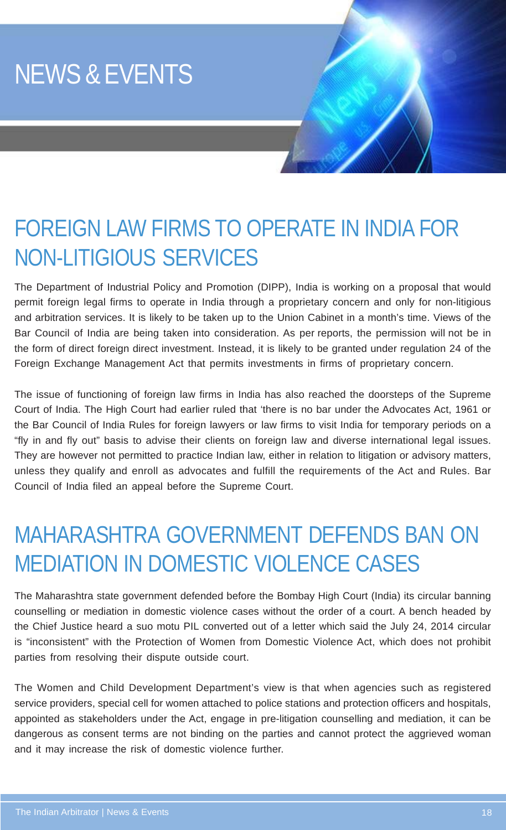# NEWS & EVENTS

## FOREIGN LAW FIRMS TO OPERATE IN INDIA FOR NON-LITIGIOUS SERVICES

The Department of Industrial Policy and Promotion (DIPP), India is working on a proposal that would permit foreign legal firms to operate in India through a proprietary concern and only for non-litigious and arbitration services. It is likely to be taken up to the Union Cabinet in a month's time. Views of the Bar Council of India are being taken into consideration. As per reports, the permission will not be in the form of direct foreign direct investment. Instead, it is likely to be granted under regulation 24 of the Foreign Exchange Management Act that permits investments in firms of proprietary concern.

The issue of functioning of foreign law firms in India has also reached the doorsteps of the Supreme Court of India. The High Court had earlier ruled that 'there is no bar under the Advocates Act, 1961 or the Bar Council of India Rules for foreign lawyers or law firms to visit India for temporary periods on a "fly in and fly out" basis to advise their clients on foreign law and diverse international legal issues. They are however not permitted to practice Indian law, either in relation to litigation or advisory matters, unless they qualify and enroll as advocates and fulfill the requirements of the Act and Rules. Bar Council of India filed an appeal before the Supreme Court.

## MAHARASHTRA GOVERNMENT DEFENDS BAN ON MEDIATION IN DOMESTIC VIOLENCE CASES

The Maharashtra state government defended before the Bombay High Court (India) its circular banning counselling or mediation in domestic violence cases without the order of a court. A bench headed by the Chief Justice heard a suo motu PIL converted out of a letter which said the July 24, 2014 circular is "inconsistent" with the Protection of Women from Domestic Violence Act, which does not prohibit parties from resolving their dispute outside court.

The Women and Child Development Department's view is that when agencies such as registered service providers, special cell for women attached to police stations and protection officers and hospitals, appointed as stakeholders under the Act, engage in pre-litigation counselling and mediation, it can be dangerous as consent terms are not binding on the parties and cannot protect the aggrieved woman and it may increase the risk of domestic violence further.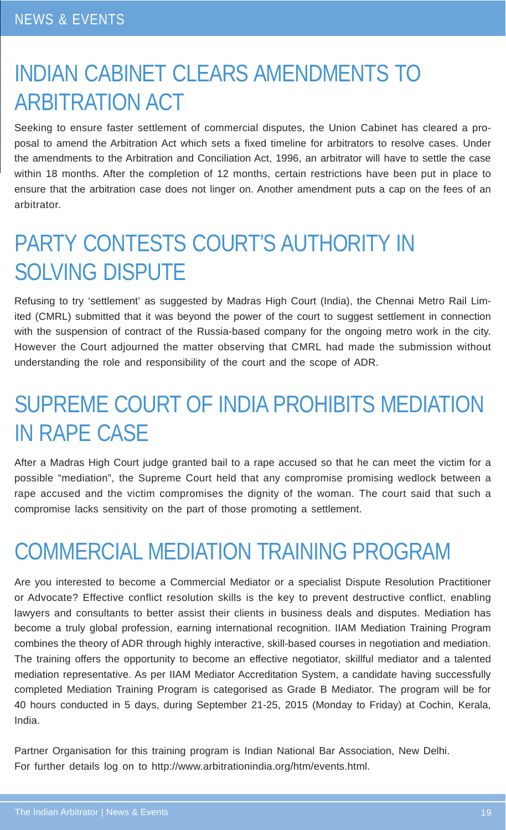## INDIAN CABINET CLEARS AMENDMENTS TO ARBITRATION ACT

Seeking to ensure faster settlement of commercial disputes, the Union Cabinet has cleared a proposal to amend the Arbitration Act which sets a fixed timeline for arbitrators to resolve cases. Under the amendments to the Arbitration and Conciliation Act, 1996, an arbitrator will have to settle the case within 18 months. After the completion of 12 months, certain restrictions have been put in place to ensure that the arbitration case does not linger on. Another amendment puts a cap on the fees of an arbitrator.

## PARTY CONTESTS COURT'S AUTHORITY IN SOLVING DISPUTE

Refusing to try 'settlement' as suggested by Madras High Court (India), the Chennai Metro Rail Limited (CMRL) submitted that it was beyond the power of the court to suggest settlement in connection with the suspension of contract of the Russia-based company for the ongoing metro work in the city. However the Court adjourned the matter observing that CMRL had made the submission without understanding the role and responsibility of the court and the scope of ADR.

## SUPREME COURT OF INDIA PROHIBITS MEDIATION IN RAPE CASE

After a Madras High Court judge granted bail to a rape accused so that he can meet the victim for a possible "mediation", the Supreme Court held that any compromise promising wedlock between a rape accused and the victim compromises the dignity of the woman. The court said that such a compromise lacks sensitivity on the part of those promoting a settlement.

## COMMERCIAL MEDIATION TRAINING PROGRAM

Are you interested to become a Commercial Mediator or a specialist Dispute Resolution Practitioner or Advocate? Effective conflict resolution skills is the key to prevent destructive conflict, enabling lawyers and consultants to better assist their clients in business deals and disputes. Mediation has become a truly global profession, earning international recognition. IIAM Mediation Training Program combines the theory of ADR through highly interactive, skill-based courses in negotiation and mediation. The training offers the opportunity to become an effective negotiator, skillful mediator and a talented mediation representative. As per IIAM Mediator Accreditation System, a candidate having successfully completed Mediation Training Program is categorised as Grade B Mediator. The program will be for 40 hours conducted in 5 days, during September 21-25, 2015 (Monday to Friday) at Cochin, Kerala, India.

Partner Organisation for this training program is Indian National Bar Association, New Delhi. For further details log on to http://www.arbitrationindia.org/htm/events.html.